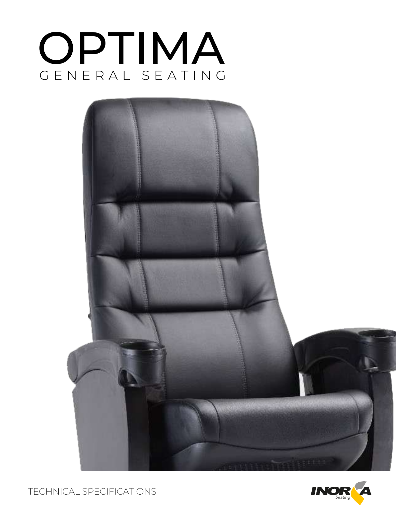





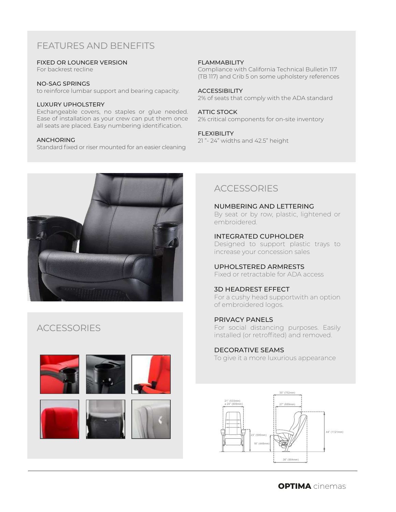# FEATURES AND BENEFITS

### FIXED OR LOUNGER VERSION

For backrest recline

#### NO-SAG SPRINGS

to reinforce lumbar support and bearing capacity.

### LUXURY UPHOLSTERY

Exchangeable covers, no staples or glue needed. Ease of installation as your crew can put them once all seats are placed. Easy numbering identification.

#### ANCHORING

Standard fixed or riser mounted for an easier cleaning

### FLAMMABILITY

Compliance with California Technical Bulletin 117 (TB 117) and Crib 5 on some upholstery references

#### **ACCESSIBILITY**

2% of seats that comply with the ADA standard

#### ATTIC STOCK

2% critical components for on-site inventory

#### FLEXIBILITY

21 "- 24" widths and 42.5" height



## **ACCESSORIES**





## **ACCESSORIES**

NUMBERING AND LETTERING By seat or by row, plastic, lightened or embroidered.

INTEGRATED CUPHOLDER Designed to support plastic trays to increase your concession sales

UPHOLSTERED ARMRESTS Fixed or retractable for ADA access

## 3D HEADREST EFFECT

For a cushy head supportwith an option of embroidered logos.

PRIVACY PANELS For social distancing purposes. Easily installed (or retroffited) and removed.

### DECORATIVE SEAMS

To give it a more luxurious appearance

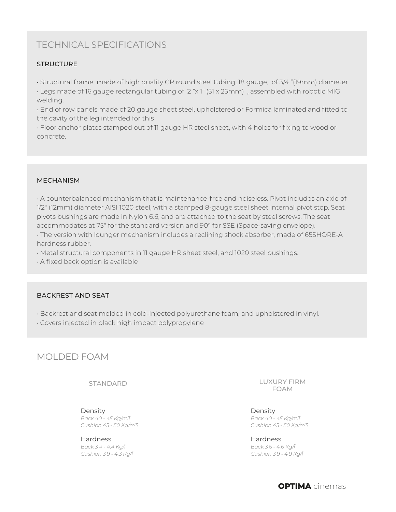# TECHNICAL SPECIFICATIONS

## **STRUCTURE**

• Structural frame made of high quality CR round steel tubing, 18 gauge, of 3/4 "(19mm) diameter

• Legs made of 16 gauge rectangular tubing of 2 "x 1" (51 x 25mm) , assembled with robotic MIG welding.

• End of row panels made of 20 gauge sheet steel, upholstered or Formica laminated and fitted to the cavity of the leg intended for this

• Floor anchor plates stamped out of 11 gauge HR steel sheet, with 4 holes for fixing to wood or concrete.

### MECHANISM

• A counterbalanced mechanism that is maintenance-free and noiseless. Pivot includes an axle of 1/2" (12mm) diameter AISI 1020 steel, with a stamped 8-gauge steel sheet internal pivot stop. Seat pivots bushings are made in Nylon 6.6, and are attached to the seat by steel screws. The seat accommodates at 75° for the standard version and 90° for SSE (Space-saving envelope).

• The version with lounger mechanism includes a reclining shock absorber, made of 65SHORE-A hardness rubber.

• Metal structural components in 11 gauge HR sheet steel, and 1020 steel bushings.

• A fixed back option is available

## BACKREST AND SEAT

• Backrest and seat molded in cold-injected polyurethane foam, and upholstered in vinyl.

• Covers injected in black high impact polypropylene

## MOLDED FOAM

STANDARD

Density *Back 40 - 45 Kg/m3 Cushion 45 - 50 Kg/m3*

Hardness *Back 3.4 - 4.4 Kg/f Cushion 3.9 - 4.3 Kg/f* LUXURY FIRM FOAM

Density *Back 40 - 45 Kg/m3 Cushion 45 - 50 Kg/m3*

Hardness *Back 3.6 - 4.6 Kg/f Cushion 3.9 - 4.9 Kg/f*